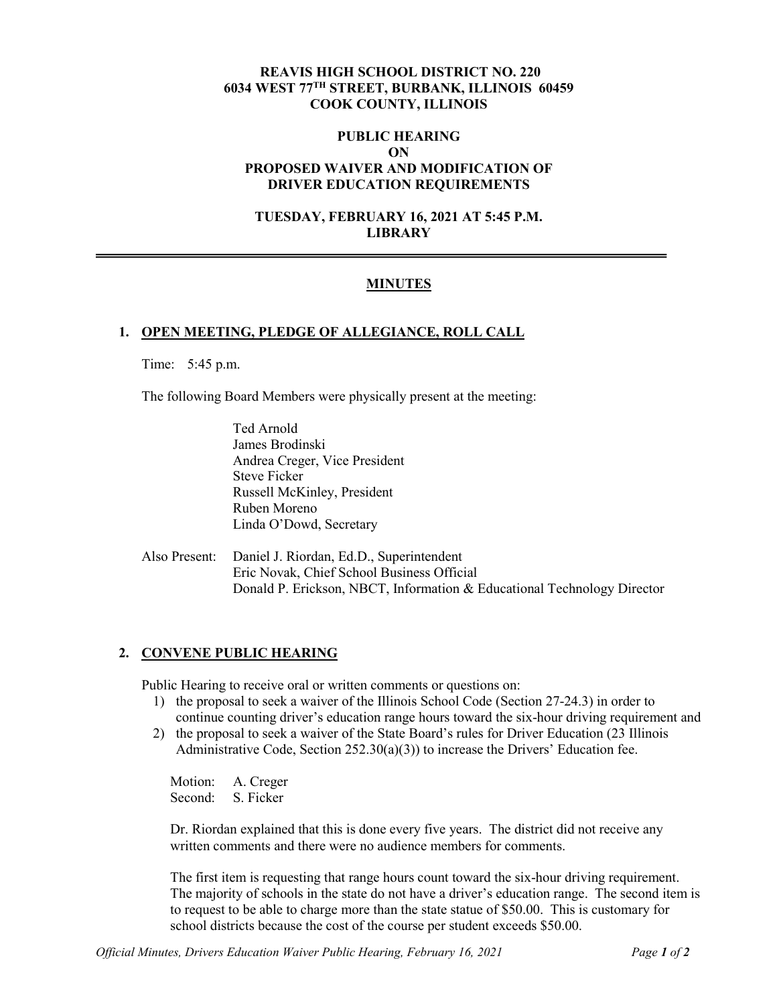## **REAVIS HIGH SCHOOL DISTRICT NO. 220 6034 WEST 77TH STREET, BURBANK, ILLINOIS 60459 COOK COUNTY, ILLINOIS**

## **PUBLIC HEARING ON PROPOSED WAIVER AND MODIFICATION OF DRIVER EDUCATION REQUIREMENTS**

#### **TUESDAY, FEBRUARY 16, 2021 AT 5:45 P.M. LIBRARY**

## **MINUTES**

#### **1. OPEN MEETING, PLEDGE OF ALLEGIANCE, ROLL CALL**

Time: 5:45 p.m.

The following Board Members were physically present at the meeting:

Ted Arnold James Brodinski Andrea Creger, Vice President Steve Ficker Russell McKinley, President Ruben Moreno Linda O'Dowd, Secretary

Also Present: Daniel J. Riordan, Ed.D., Superintendent Eric Novak, Chief School Business Official Donald P. Erickson, NBCT, Information & Educational Technology Director

#### **2. CONVENE PUBLIC HEARING**

Public Hearing to receive oral or written comments or questions on:

- 1) the proposal to seek a waiver of the Illinois School Code (Section 27-24.3) in order to continue counting driver's education range hours toward the six-hour driving requirement and
- 2) the proposal to seek a waiver of the State Board's rules for Driver Education (23 Illinois Administrative Code, Section 252.30(a)(3)) to increase the Drivers' Education fee.

Motion: A. Creger Second: S. Ficker

Dr. Riordan explained that this is done every five years. The district did not receive any written comments and there were no audience members for comments.

The first item is requesting that range hours count toward the six-hour driving requirement. The majority of schools in the state do not have a driver's education range. The second item is to request to be able to charge more than the state statue of \$50.00. This is customary for school districts because the cost of the course per student exceeds \$50.00.